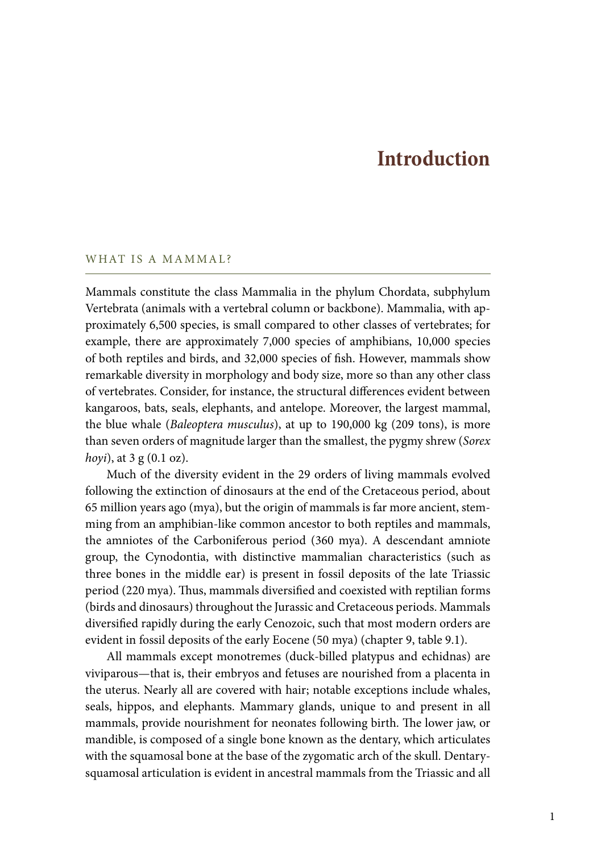# **Introduction**

## WHAT IS A MAMMAL?

Mammals constitute the class Mammalia in the phylum Chordata, subphylum Vertebrata (animals with a vertebral column or backbone). Mammalia, with approximately 6,500 species, is small compared to other classes of vertebrates; for example, there are approximately 7,000 species of amphibians, 10,000 species of both reptiles and birds, and 32,000 species of fish. However, mammals show remarkable diversity in morphology and body size, more so than any other class of vertebrates. Consider, for instance, the structural differences evident between kangaroos, bats, seals, elephants, and antelope. Moreover, the largest mammal, the blue whale (*Baleoptera musculus*), at up to 190,000 kg (209 tons), is more than seven orders of magnitude larger than the smallest, the pygmy shrew (*Sorex hoyi*), at 3 g (0.1 oz).

Much of the diversity evident in the 29 orders of living mammals evolved following the extinction of dinosaurs at the end of the Cretaceous period, about 65 million years ago (mya), but the origin of mammals is far more ancient, stemming from an amphibian-like common ancestor to both reptiles and mammals, the amniotes of the Carboniferous period (360 mya). A descendant amniote group, the Cynodontia, with distinctive mammalian characteristics (such as three bones in the middle ear) is present in fossil deposits of the late Triassic period (220 mya). Thus, mammals diversified and coexisted with reptilian forms (birds and dinosaurs) throughout the Jurassic and Cretaceous periods. Mammals diversified rapidly during the early Cenozoic, such that most modern orders are evident in fossil deposits of the early Eocene (50 mya) (chapter 9, table 9.1).

All mammals except monotremes (duck-billed platypus and echidnas) are viviparous—that is, their embryos and fetuses are nourished from a placenta in the uterus. Nearly all are covered with hair; notable exceptions include whales, seals, hippos, and elephants. Mammary glands, unique to and present in all mammals, provide nourishment for neonates following birth. The lower jaw, or mandible, is composed of a single bone known as the dentary, which articulates with the squamosal bone at the base of the zygomatic arch of the skull. Dentarysquamosal articulation is evident in ancestral mammals from the Triassic and all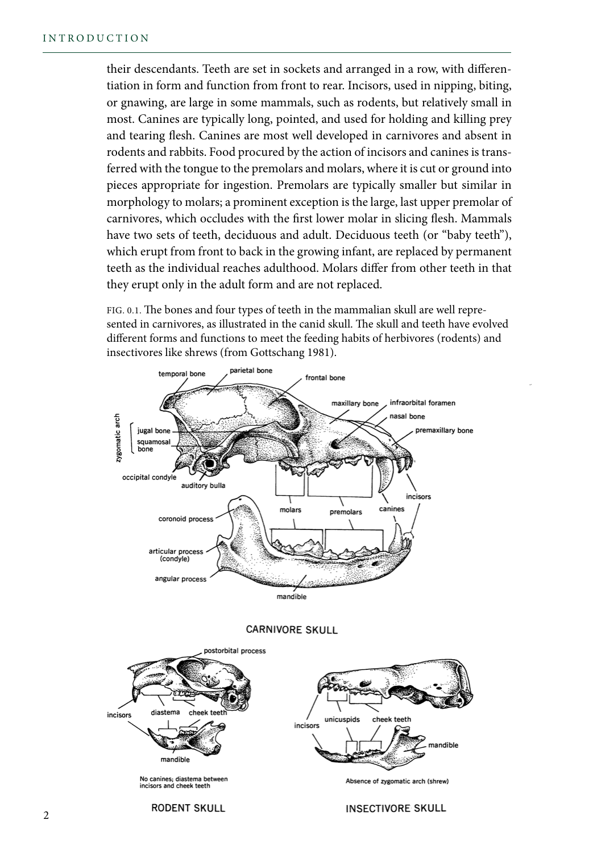their descendants. Teeth are set in sockets and arranged in a row, with differentiation in form and function from front to rear. Incisors, used in nipping, biting, or gnawing, are large in some mammals, such as rodents, but relatively small in most. Canines are typically long, pointed, and used for holding and killing prey and tearing flesh. Canines are most well developed in carnivores and absent in rodents and rabbits. Food procured by the action of incisors and canines is transferred with the tongue to the premolars and molars, where it is cut or ground into pieces appropriate for ingestion. Premolars are typically smaller but similar in morphology to molars; a prominent exception is the large, last upper premolar of carnivores, which occludes with the first lower molar in slicing flesh. Mammals have two sets of teeth, deciduous and adult. Deciduous teeth (or "baby teeth"), which erupt from front to back in the growing infant, are replaced by permanent teeth as the individual reaches adulthood. Molars differ from other teeth in that they erupt only in the adult form and are not replaced.

FIG. 0.1. The bones and four types of teeth in the mammalian skull are well represented in carnivores, as illustrated in the canid skull. The skull and teeth have evolved different forms and functions to meet the feeding habits of herbivores (rodents) and insectivores like shrews (from Gottschang 1981).



#### **CARNIVORE SKULL**



#### **INSECTIVORE SKULL**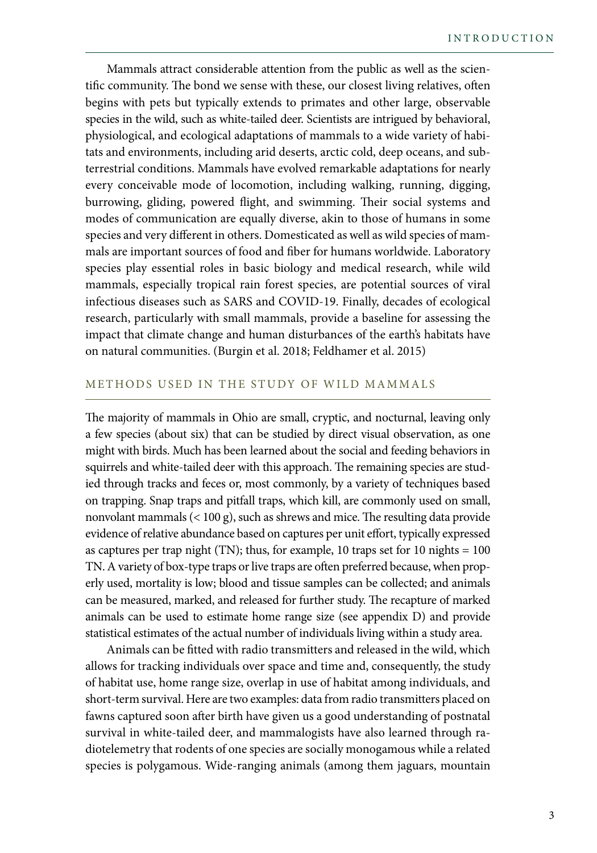Mammals attract considerable attention from the public as well as the scientific community. The bond we sense with these, our closest living relatives, often begins with pets but typically extends to primates and other large, observable species in the wild, such as white-tailed deer. Scientists are intrigued by behavioral, physiological, and ecological adaptations of mammals to a wide variety of habitats and environments, including arid deserts, arctic cold, deep oceans, and subterrestrial conditions. Mammals have evolved remarkable adaptations for nearly every conceivable mode of locomotion, including walking, running, digging, burrowing, gliding, powered flight, and swimming. Their social systems and modes of communication are equally diverse, akin to those of humans in some species and very different in others. Domesticated as well as wild species of mammals are important sources of food and fiber for humans worldwide. Laboratory species play essential roles in basic biology and medical research, while wild mammals, especially tropical rain forest species, are potential sources of viral infectious diseases such as SARS and COVID-19. Finally, decades of ecological research, particularly with small mammals, provide a baseline for assessing the impact that climate change and human disturbances of the earth's habitats have on natural communities. (Burgin et al. 2018; Feldhamer et al. 2015)

### METHODS USED IN THE STUDY OF WILD MAMMALS

The majority of mammals in Ohio are small, cryptic, and nocturnal, leaving only a few species (about six) that can be studied by direct visual observation, as one might with birds. Much has been learned about the social and feeding behaviors in squirrels and white-tailed deer with this approach. The remaining species are studied through tracks and feces or, most commonly, by a variety of techniques based on trapping. Snap traps and pitfall traps, which kill, are commonly used on small, nonvolant mammals (< 100 g), such as shrews and mice. The resulting data provide evidence of relative abundance based on captures per unit effort, typically expressed as captures per trap night (TN); thus, for example, 10 traps set for 10 nights  $= 100$ TN. A variety of box-type traps or live traps are often preferred because, when properly used, mortality is low; blood and tissue samples can be collected; and animals can be measured, marked, and released for further study. The recapture of marked animals can be used to estimate home range size (see appendix D) and provide statistical estimates of the actual number of individuals living within a study area.

Animals can be fitted with radio transmitters and released in the wild, which allows for tracking individuals over space and time and, consequently, the study of habitat use, home range size, overlap in use of habitat among individuals, and short-term survival. Here are two examples: data from radio transmitters placed on fawns captured soon after birth have given us a good understanding of postnatal survival in white-tailed deer, and mammalogists have also learned through radiotelemetry that rodents of one species are socially monogamous while a related species is polygamous. Wide-ranging animals (among them jaguars, mountain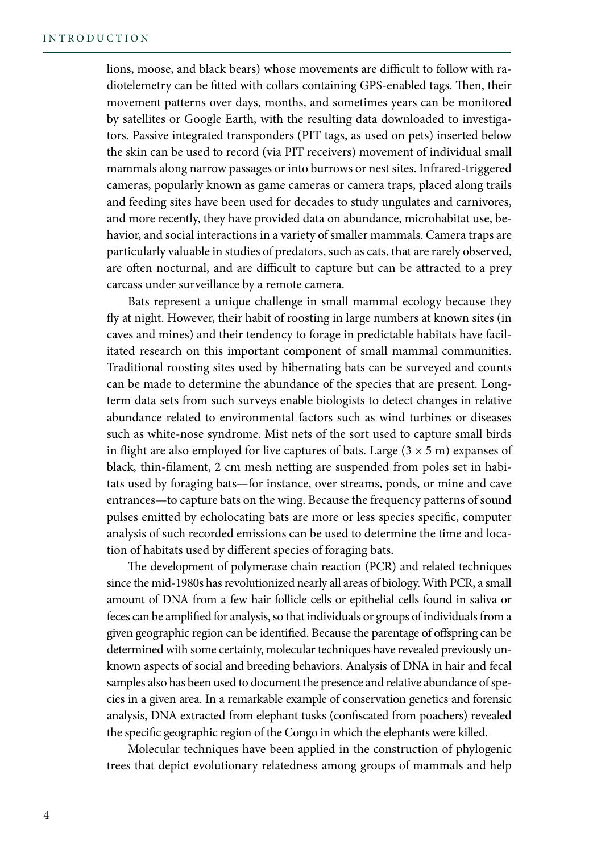lions, moose, and black bears) whose movements are difficult to follow with radiotelemetry can be fitted with collars containing GPS-enabled tags. Then, their movement patterns over days, months, and sometimes years can be monitored by satellites or Google Earth, with the resulting data downloaded to investigators. Passive integrated transponders (PIT tags, as used on pets) inserted below the skin can be used to record (via PIT receivers) movement of individual small mammals along narrow passages or into burrows or nest sites. Infrared-triggered cameras, popularly known as game cameras or camera traps, placed along trails and feeding sites have been used for decades to study ungulates and carnivores, and more recently, they have provided data on abundance, microhabitat use, behavior, and social interactions in a variety of smaller mammals. Camera traps are particularly valuable in studies of predators, such as cats, that are rarely observed, are often nocturnal, and are difficult to capture but can be attracted to a prey carcass under surveillance by a remote camera.

Bats represent a unique challenge in small mammal ecology because they fly at night. However, their habit of roosting in large numbers at known sites (in caves and mines) and their tendency to forage in predictable habitats have facilitated research on this important component of small mammal communities. Traditional roosting sites used by hibernating bats can be surveyed and counts can be made to determine the abundance of the species that are present. Longterm data sets from such surveys enable biologists to detect changes in relative abundance related to environmental factors such as wind turbines or diseases such as white-nose syndrome. Mist nets of the sort used to capture small birds in flight are also employed for live captures of bats. Large  $(3 \times 5 \text{ m})$  expanses of black, thin-filament, 2 cm mesh netting are suspended from poles set in habitats used by foraging bats—for instance, over streams, ponds, or mine and cave entrances—to capture bats on the wing. Because the frequency patterns of sound pulses emitted by echolocating bats are more or less species specific, computer analysis of such recorded emissions can be used to determine the time and location of habitats used by different species of foraging bats.

The development of polymerase chain reaction (PCR) and related techniques since the mid-1980s has revolutionized nearly all areas of biology. With PCR, a small amount of DNA from a few hair follicle cells or epithelial cells found in saliva or feces can be amplified for analysis, so that individuals or groups of individuals from a given geographic region can be identified. Because the parentage of offspring can be determined with some certainty, molecular techniques have revealed previously unknown aspects of social and breeding behaviors. Analysis of DNA in hair and fecal samples also has been used to document the presence and relative abundance of species in a given area. In a remarkable example of conservation genetics and forensic analysis, DNA extracted from elephant tusks (confiscated from poachers) revealed the specific geographic region of the Congo in which the elephants were killed.

Molecular techniques have been applied in the construction of phylogenic trees that depict evolutionary relatedness among groups of mammals and help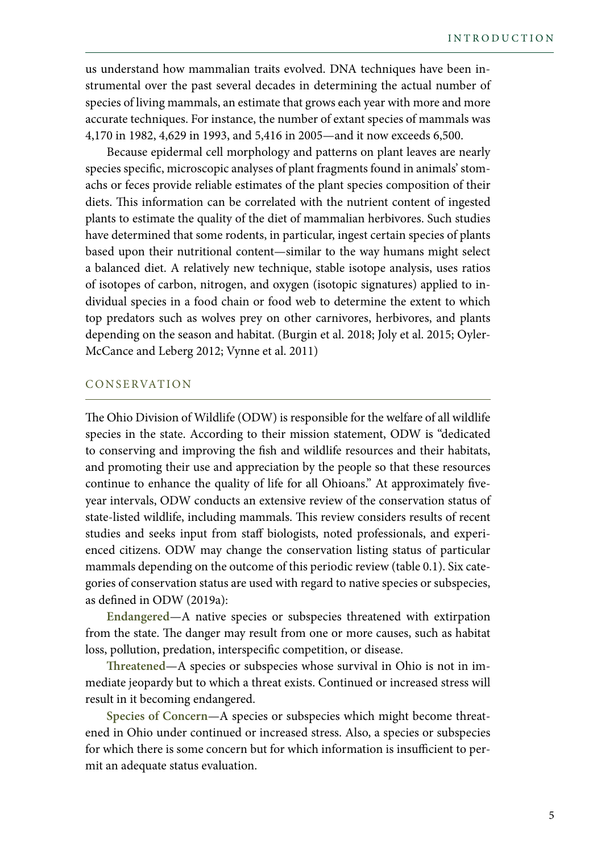us understand how mammalian traits evolved. DNA techniques have been instrumental over the past several decades in determining the actual number of species of living mammals, an estimate that grows each year with more and more accurate techniques. For instance, the number of extant species of mammals was 4,170 in 1982, 4,629 in 1993, and 5,416 in 2005—and it now exceeds 6,500.

Because epidermal cell morphology and patterns on plant leaves are nearly species specific, microscopic analyses of plant fragments found in animals' stomachs or feces provide reliable estimates of the plant species composition of their diets. This information can be correlated with the nutrient content of ingested plants to estimate the quality of the diet of mammalian herbivores. Such studies have determined that some rodents, in particular, ingest certain species of plants based upon their nutritional content—similar to the way humans might select a balanced diet. A relatively new technique, stable isotope analysis, uses ratios of isotopes of carbon, nitrogen, and oxygen (isotopic signatures) applied to individual species in a food chain or food web to determine the extent to which top predators such as wolves prey on other carnivores, herbivores, and plants depending on the season and habitat. (Burgin et al. 2018; Joly et al. 2015; Oyler-McCance and Leberg 2012; Vynne et al. 2011)

#### C O N SE RVAT IO N

The Ohio Division of Wildlife (ODW) is responsible for the welfare of all wildlife species in the state. According to their mission statement, ODW is "dedicated to conserving and improving the fish and wildlife resources and their habitats, and promoting their use and appreciation by the people so that these resources continue to enhance the quality of life for all Ohioans." At approximately fiveyear intervals, ODW conducts an extensive review of the conservation status of state-listed wildlife, including mammals. This review considers results of recent studies and seeks input from staff biologists, noted professionals, and experienced citizens. ODW may change the conservation listing status of particular mammals depending on the outcome of this periodic review (table 0.1). Six categories of conservation status are used with regard to native species or subspecies, as defined in ODW (2019a):

**Endangered**—A native species or subspecies threatened with extirpation from the state. The danger may result from one or more causes, such as habitat loss, pollution, predation, interspecific competition, or disease.

**Threatened**—A species or subspecies whose survival in Ohio is not in immediate jeopardy but to which a threat exists. Continued or increased stress will result in it becoming endangered.

**Species of Concern**—A species or subspecies which might become threatened in Ohio under continued or increased stress. Also, a species or subspecies for which there is some concern but for which information is insufficient to permit an adequate status evaluation.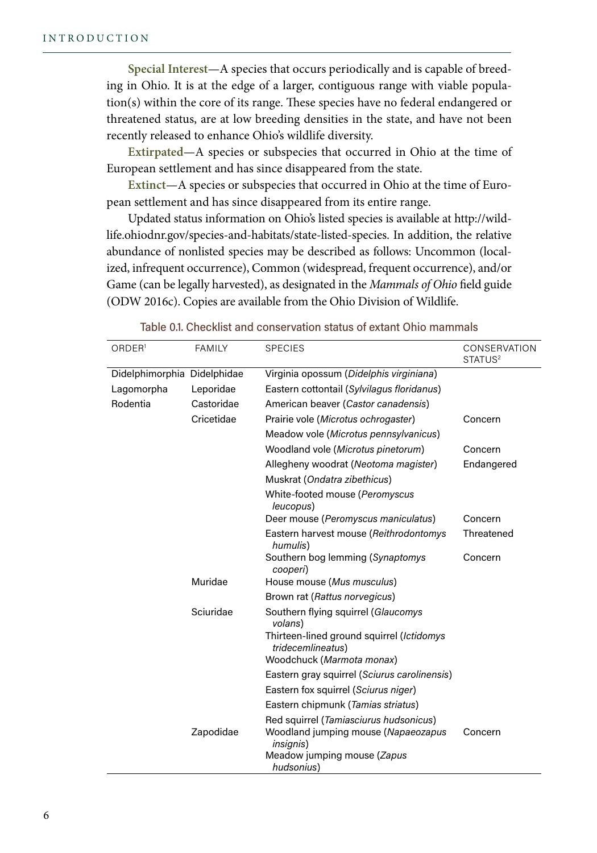**Special Interest**—A species that occurs periodically and is capable of breeding in Ohio. It is at the edge of a larger, contiguous range with viable population(s) within the core of its range. These species have no federal endangered or threatened status, are at low breeding densities in the state, and have not been recently released to enhance Ohio's wildlife diversity.

**Extirpated**—A species or subspecies that occurred in Ohio at the time of European settlement and has since disappeared from the state.

**Extinct**—A species or subspecies that occurred in Ohio at the time of European settlement and has since disappeared from its entire range.

Updated status information on Ohio's listed species is available at http://wildlife.ohiodnr.gov/species-and-habitats/state-listed-species. In addition, the relative abundance of nonlisted species may be described as follows: Uncommon (localized, infrequent occurrence), Common (widespread, frequent occurrence), and/or Game (can be legally harvested), as designated in the *Mammals of Ohio* field guide (ODW 2016c). Copies are available from the Ohio Division of Wildlife.

| ORDER <sup>1</sup>          | <b>FAMILY</b> | <b>SPECIES</b>                                                                                     | CONSERVATION<br>STATUS <sup>2</sup> |
|-----------------------------|---------------|----------------------------------------------------------------------------------------------------|-------------------------------------|
| Didelphimorphia Didelphidae |               | Virginia opossum (Didelphis virginiana)                                                            |                                     |
| Lagomorpha                  | Leporidae     | Eastern cottontail (Sylvilagus floridanus)                                                         |                                     |
| Rodentia                    | Castoridae    | American beaver (Castor canadensis)                                                                |                                     |
|                             | Cricetidae    | Prairie vole (Microtus ochrogaster)                                                                | Concern                             |
|                             |               | Meadow vole (Microtus pennsylvanicus)                                                              |                                     |
|                             |               | Woodland vole (Microtus pinetorum)                                                                 | Concern                             |
|                             |               | Allegheny woodrat (Neotoma magister)                                                               | Endangered                          |
|                             |               | Muskrat (Ondatra zibethicus)                                                                       |                                     |
|                             |               | White-footed mouse (Peromyscus<br>leucopus)                                                        |                                     |
|                             |               | Deer mouse (Peromyscus maniculatus)                                                                | Concern                             |
|                             |               | Eastern harvest mouse (Reithrodontomys<br>humulis)                                                 | Threatened                          |
|                             |               | Southern bog lemming (Synaptomys<br>cooperi)                                                       | Concern                             |
|                             | Muridae       | House mouse (Mus musculus)                                                                         |                                     |
|                             |               | Brown rat (Rattus norvegicus)                                                                      |                                     |
|                             | Sciuridae     | Southern flying squirrel (Glaucomys<br>volans)                                                     |                                     |
|                             |               | Thirteen-lined ground squirrel (Ictidomys<br>tridecemlineatus)                                     |                                     |
|                             |               | Woodchuck (Marmota monax)                                                                          |                                     |
|                             |               | Eastern gray squirrel (Sciurus carolinensis)                                                       |                                     |
|                             |               | Eastern fox squirrel (Sciurus niger)                                                               |                                     |
|                             |               | Eastern chipmunk (Tamias striatus)                                                                 |                                     |
|                             | Zapodidae     | Red squirrel (Tamiasciurus hudsonicus)<br>Woodland jumping mouse (Napaeozapus<br><i>insignis</i> ) | Concern                             |
|                             |               | Meadow jumping mouse (Zapus<br>hudsonius)                                                          |                                     |

| Table 0.1. Checklist and conservation status of extant Ohio mammals |
|---------------------------------------------------------------------|
|---------------------------------------------------------------------|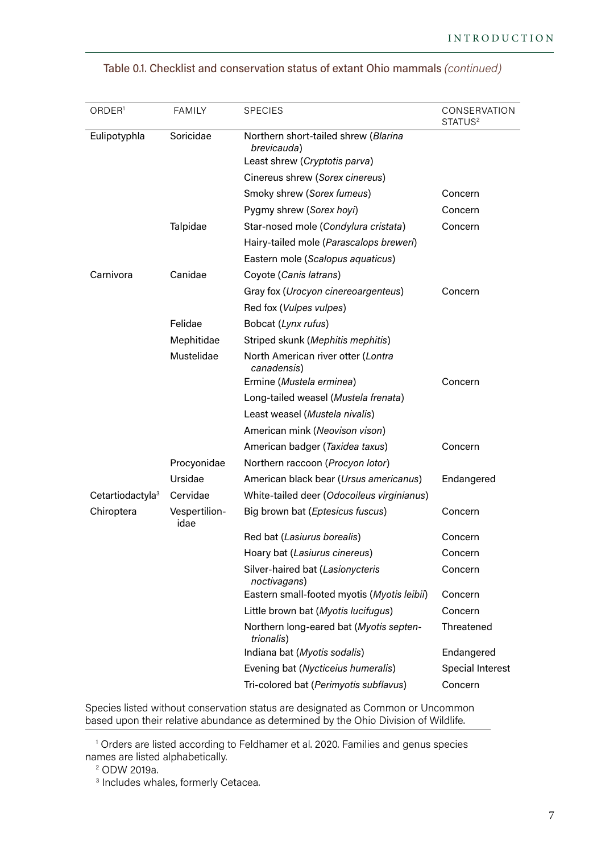| ORDER <sup>1</sup>           | <b>FAMILY</b>         | <b>SPECIES</b>                                        | CONSERVATION<br>STATUS <sup>2</sup> |
|------------------------------|-----------------------|-------------------------------------------------------|-------------------------------------|
| Eulipotyphla                 | Soricidae             | Northern short-tailed shrew (Blarina<br>brevicauda)   |                                     |
|                              |                       | Least shrew (Cryptotis parva)                         |                                     |
|                              |                       | Cinereus shrew (Sorex cinereus)                       |                                     |
|                              |                       | Smoky shrew (Sorex fumeus)                            | Concern                             |
|                              |                       | Pygmy shrew (Sorex hoyi)                              | Concern                             |
|                              | Talpidae              | Star-nosed mole (Condylura cristata)                  | Concern                             |
|                              |                       | Hairy-tailed mole (Parascalops breweri)               |                                     |
|                              |                       | Eastern mole (Scalopus aquaticus)                     |                                     |
| Carnivora                    | Canidae               | Coyote (Canis latrans)                                |                                     |
|                              |                       | Gray fox (Urocyon cinereoargenteus)                   | Concern                             |
|                              |                       | Red fox (Vulpes vulpes)                               |                                     |
|                              | Felidae               | Bobcat (Lynx rufus)                                   |                                     |
|                              | Mephitidae            | Striped skunk (Mephitis mephitis)                     |                                     |
|                              | Mustelidae            | North American river otter (Lontra<br>canadensis)     |                                     |
|                              |                       | Ermine (Mustela erminea)                              | Concern                             |
|                              |                       | Long-tailed weasel (Mustela frenata)                  |                                     |
|                              |                       | Least weasel (Mustela nivalis)                        |                                     |
|                              |                       | American mink (Neovison vison)                        |                                     |
|                              |                       | American badger (Taxidea taxus)                       | Concern                             |
|                              | Procyonidae           | Northern raccoon (Procyon lotor)                      |                                     |
|                              | Ursidae               | American black bear (Ursus americanus)                | Endangered                          |
| Cetartiodactyla <sup>3</sup> | Cervidae              | White-tailed deer (Odocoileus virginianus)            |                                     |
| Chiroptera                   | Vespertilion-<br>idae | Big brown bat (Eptesicus fuscus)                      | Concern                             |
|                              |                       | Red bat (Lasiurus borealis)                           | Concern                             |
|                              |                       | Hoary bat (Lasiurus cinereus)                         | Concern                             |
|                              |                       | Silver-haired bat (Lasionycteris<br>noctivagans)      | Concern                             |
|                              |                       | Eastern small-footed myotis (Myotis leibii)           | Concern                             |
|                              |                       | Little brown bat (Myotis lucifugus)                   | Concern                             |
|                              |                       | Northern long-eared bat (Myotis septen-<br>trionalis) | Threatened                          |
|                              |                       | Indiana bat (Myotis sodalis)                          | Endangered                          |
|                              |                       | Evening bat (Nycticeius humeralis)                    | Special Interest                    |
|                              |                       | Tri-colored bat (Perimyotis subflavus)                | Concern                             |

# Table 0.1. Checklist and conservation status of extant Ohio mammals (continued)

Species listed without conservation status are designated as Common or Uncommon based upon their relative abundance as determined by the Ohio Division of Wildlife.

<sup>1</sup> Orders are listed according to Feldhamer et al. 2020. Families and genus species names are listed alphabetically.

<sup>2</sup> ODW 2019a.

<sup>3</sup> Includes whales, formerly Cetacea.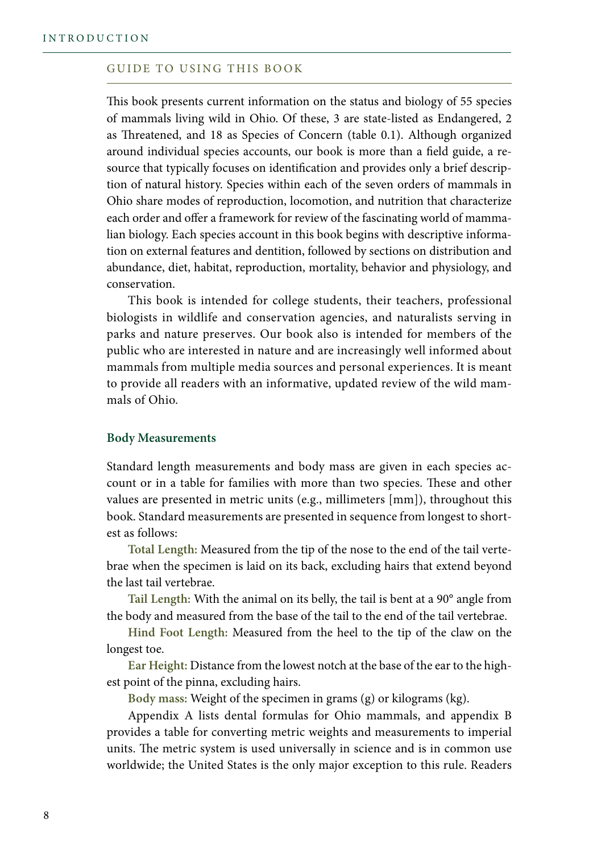#### GUIDE TO USING THIS BOOK

This book presents current information on the status and biology of 55 species of mammals living wild in Ohio. Of these, 3 are state-listed as Endangered, 2 as Threatened, and 18 as Species of Concern (table 0.1). Although organized around individual species accounts, our book is more than a field guide, a resource that typically focuses on identification and provides only a brief description of natural history. Species within each of the seven orders of mammals in Ohio share modes of reproduction, locomotion, and nutrition that characterize each order and offer a framework for review of the fascinating world of mammalian biology. Each species account in this book begins with descriptive information on external features and dentition, followed by sections on distribution and abundance, diet, habitat, reproduction, mortality, behavior and physiology, and conservation.

This book is intended for college students, their teachers, professional biologists in wildlife and conservation agencies, and naturalists serving in parks and nature preserves. Our book also is intended for members of the public who are interested in nature and are increasingly well informed about mammals from multiple media sources and personal experiences. It is meant to provide all readers with an informative, updated review of the wild mammals of Ohio.

#### **Body Measurements**

Standard length measurements and body mass are given in each species account or in a table for families with more than two species. These and other values are presented in metric units (e.g., millimeters [mm]), throughout this book. Standard measurements are presented in sequence from longest to shortest as follows:

**Total Length:** Measured from the tip of the nose to the end of the tail vertebrae when the specimen is laid on its back, excluding hairs that extend beyond the last tail vertebrae.

**Tail Length:** With the animal on its belly, the tail is bent at a 90° angle from the body and measured from the base of the tail to the end of the tail vertebrae.

**Hind Foot Length:** Measured from the heel to the tip of the claw on the longest toe.

**Ear Height:** Distance from the lowest notch at the base of the ear to the highest point of the pinna, excluding hairs.

**Body mass:** Weight of the specimen in grams (g) or kilograms (kg).

Appendix A lists dental formulas for Ohio mammals, and appendix B provides a table for converting metric weights and measurements to imperial units. The metric system is used universally in science and is in common use worldwide; the United States is the only major exception to this rule. Readers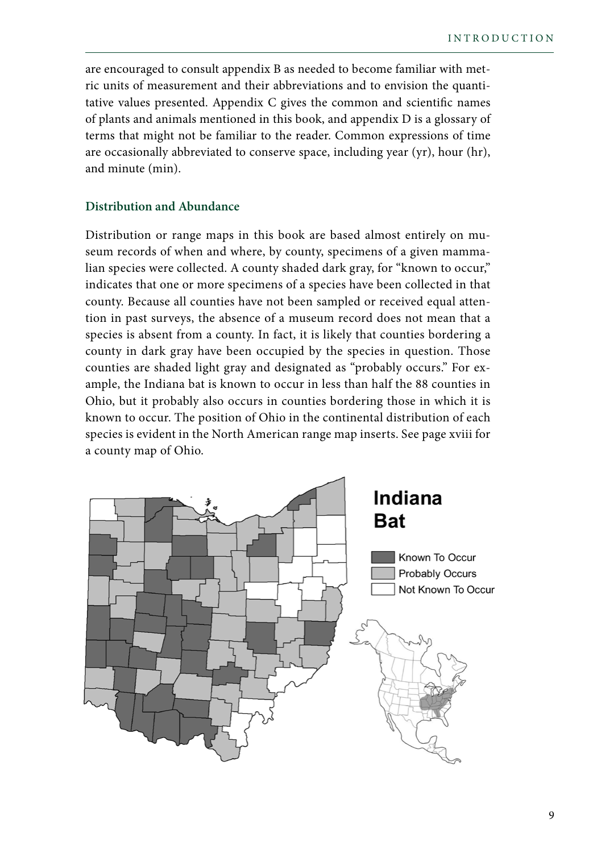are encouraged to consult appendix B as needed to become familiar with metric units of measurement and their abbreviations and to envision the quantitative values presented. Appendix C gives the common and scientific names of plants and animals mentioned in this book, and appendix D is a glossary of terms that might not be familiar to the reader. Common expressions of time are occasionally abbreviated to conserve space, including year (yr), hour (hr), and minute (min).

# **Distribution and Abundance**

Distribution or range maps in this book are based almost entirely on museum records of when and where, by county, specimens of a given mammalian species were collected. A county shaded dark gray, for "known to occur," indicates that one or more specimens of a species have been collected in that county. Because all counties have not been sampled or received equal attention in past surveys, the absence of a museum record does not mean that a species is absent from a county. In fact, it is likely that counties bordering a county in dark gray have been occupied by the species in question. Those counties are shaded light gray and designated as "probably occurs." For example, the Indiana bat is known to occur in less than half the 88 counties in Ohio, but it probably also occurs in counties bordering those in which it is known to occur. The position of Ohio in the continental distribution of each species is evident in the North American range map inserts. See page xviii for a county map of Ohio.

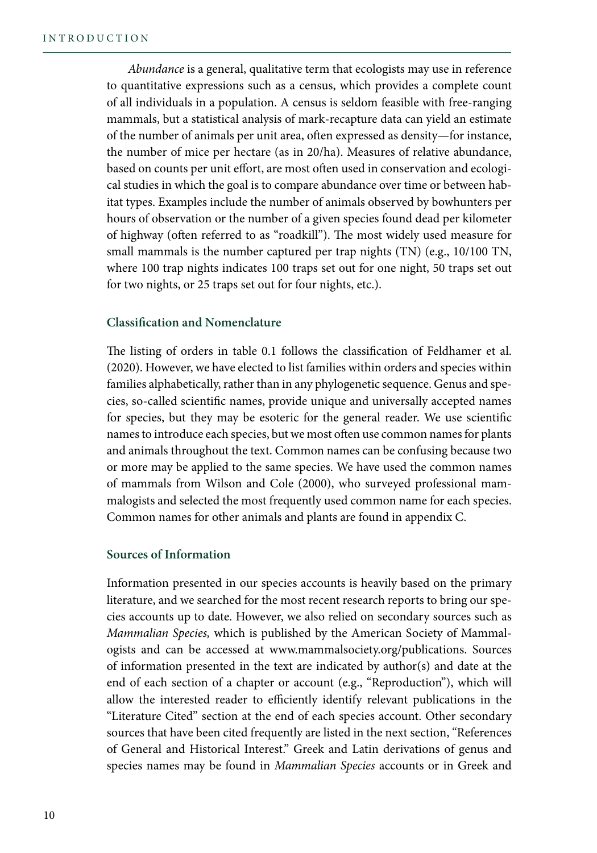*Abundance* is a general, qualitative term that ecologists may use in reference to quantitative expressions such as a census, which provides a complete count of all individuals in a population. A census is seldom feasible with free-ranging mammals, but a statistical analysis of mark-recapture data can yield an estimate of the number of animals per unit area, often expressed as density—for instance, the number of mice per hectare (as in 20/ha). Measures of relative abundance, based on counts per unit effort, are most often used in conservation and ecological studies in which the goal is to compare abundance over time or between habitat types. Examples include the number of animals observed by bowhunters per hours of observation or the number of a given species found dead per kilometer of highway (often referred to as "roadkill"). The most widely used measure for small mammals is the number captured per trap nights (TN) (e.g., 10/100 TN, where 100 trap nights indicates 100 traps set out for one night, 50 traps set out for two nights, or 25 traps set out for four nights, etc.).

## **Classification and Nomenclature**

The listing of orders in table 0.1 follows the classification of Feldhamer et al. (2020). However, we have elected to list families within orders and species within families alphabetically, rather than in any phylogenetic sequence. Genus and species, so-called scientific names, provide unique and universally accepted names for species, but they may be esoteric for the general reader. We use scientific names to introduce each species, but we most often use common names for plants and animals throughout the text. Common names can be confusing because two or more may be applied to the same species. We have used the common names of mammals from Wilson and Cole (2000), who surveyed professional mammalogists and selected the most frequently used common name for each species. Common names for other animals and plants are found in appendix C.

#### **Sources of Information**

Information presented in our species accounts is heavily based on the primary literature, and we searched for the most recent research reports to bring our species accounts up to date. However, we also relied on secondary sources such as *Mammalian Species,* which is published by the American Society of Mammalogists and can be accessed at www.mammalsociety.org/publications. Sources of information presented in the text are indicated by author(s) and date at the end of each section of a chapter or account (e.g., "Reproduction"), which will allow the interested reader to efficiently identify relevant publications in the "Literature Cited" section at the end of each species account. Other secondary sources that have been cited frequently are listed in the next section, "References of General and Historical Interest." Greek and Latin derivations of genus and species names may be found in *Mammalian Species* accounts or in Greek and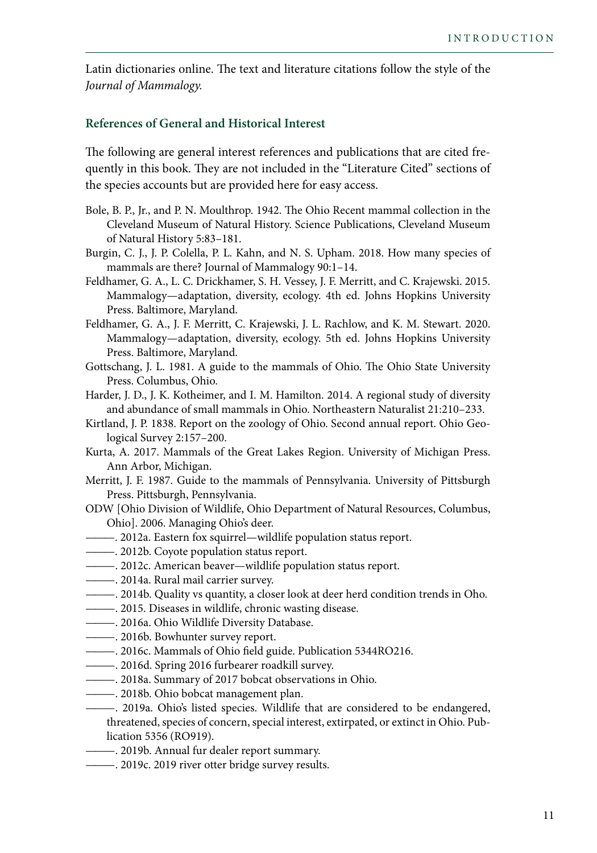Latin dictionaries online. The text and literature citations follow the style of the *Journal of Mammalogy.*

## **References of General and Historical Interest**

The following are general interest references and publications that are cited frequently in this book. They are not included in the "Literature Cited" sections of the species accounts but are provided here for easy access.

- Bole, B. P., Jr., and P. N. Moulthrop. 1942. The Ohio Recent mammal collection in the Cleveland Museum of Natural History. Science Publications, Cleveland Museum of Natural History 5:83–181.
- Burgin, C. J., J. P. Colella, P. L. Kahn, and N. S. Upham. 2018. How many species of mammals are there? Journal of Mammalogy 90:1–14.
- Feldhamer, G. A., L. C. Drickhamer, S. H. Vessey, J. F. Merritt, and C. Krajewski. 2015. Mammalogy—adaptation, diversity, ecology. 4th ed. Johns Hopkins University Press. Baltimore, Maryland.
- Feldhamer, G. A., J. F. Merritt, C. Krajewski, J. L. Rachlow, and K. M. Stewart. 2020. Mammalogy—adaptation, diversity, ecology. 5th ed. Johns Hopkins University Press. Baltimore, Maryland.
- Gottschang, J. L. 1981. A guide to the mammals of Ohio. The Ohio State University Press. Columbus, Ohio.
- Harder, J. D., J. K. Kotheimer, and I. M. Hamilton. 2014. A regional study of diversity and abundance of small mammals in Ohio. Northeastern Naturalist 21:210–233.
- Kirtland, J. P. 1838. Report on the zoology of Ohio. Second annual report. Ohio Geological Survey 2:157–200.
- Kurta, A. 2017. Mammals of the Great Lakes Region. University of Michigan Press. Ann Arbor, Michigan.
- Merritt, J. F. 1987. Guide to the mammals of Pennsylvania. University of Pittsburgh Press. Pittsburgh, Pennsylvania.
- ODW [Ohio Division of Wildlife, Ohio Department of Natural Resources, Columbus, Ohio]. 2006. Managing Ohio's deer.
- ———. 2012a. Eastern fox squirrel—wildlife population status report.
- ———. 2012b. Coyote population status report.
- ———. 2012c. American beaver—wildlife population status report.
- ———. 2014a. Rural mail carrier survey.
- ———. 2014b. Quality vs quantity, a closer look at deer herd condition trends in Oho.
- ———. 2015. Diseases in wildlife, chronic wasting disease.
- ———. 2016a. Ohio Wildlife Diversity Database.
- ———. 2016b. Bowhunter survey report.
- ———. 2016c. Mammals of Ohio field guide. Publication 5344RO216.
- ———. 2016d. Spring 2016 furbearer roadkill survey.
- ———. 2018a. Summary of 2017 bobcat observations in Ohio.
- ———. 2018b. Ohio bobcat management plan.
- ———. 2019a. Ohio's listed species. Wildlife that are considered to be endangered, threatened, species of concern, special interest, extirpated, or extinct in Ohio. Publication 5356 (RO919).
- ———. 2019b. Annual fur dealer report summary.
- ———. 2019c. 2019 river otter bridge survey results.